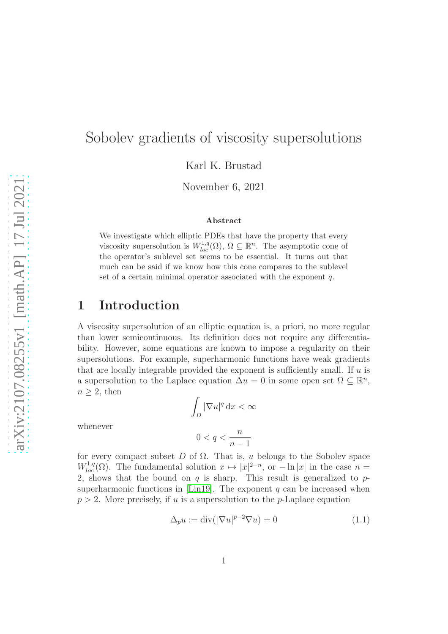# Sobolev gradients of viscosity supersolutions

Karl K. Brustad

November 6, 2021

#### Abstract

We investigate which elliptic PDEs that have the property that every viscosity supersolution is  $W^{1,q}_{loc}(\Omega)$ ,  $\Omega \subseteq \mathbb{R}^n$ . The asymptotic cone of the operator's sublevel set seems to be essential. It turns out that much can be said if we know how this cone compares to the sublevel set of a certain minimal operator associated with the exponent  $q$ .

### 1 Introduction

A viscosity supersolution of an elliptic equation is, a priori, no more regular than lower semicontinuous. Its definition does not require any differentiability. However, some equations are known to impose a regularity on their supersolutions. For example, superharmonic functions have weak gradients that are locally integrable provided the exponent is sufficiently small. If  $u$  is a supersolution to the Laplace equation  $\Delta u = 0$  in some open set  $\Omega \subseteq \mathbb{R}^n$ ,  $n \geq 2$ , then

whenever

$$
0 < q < \frac{n}{n-1}
$$

 $\int_D |\nabla u|^q \, \mathrm{d}x < \infty$ 

ˆ

for every compact subset  $D$  of  $\Omega$ . That is, u belongs to the Sobolev space  $W_{loc}^{1,q}(\Omega)$ . The fundamental solution  $x \mapsto |x|^{2-n}$ , or  $-\ln |x|$  in the case  $n =$ 2, shows that the bound on  $q$  is sharp. This result is generalized to  $p$ -superharmonic functions in [\[Lin19\]](#page-19-0). The exponent  $q$  can be increased when  $p > 2$ . More precisely, if u is a supersolution to the p-Laplace equation

<span id="page-0-0"></span>
$$
\Delta_p u := \text{div}(|\nabla u|^{p-2} \nabla u) = 0 \tag{1.1}
$$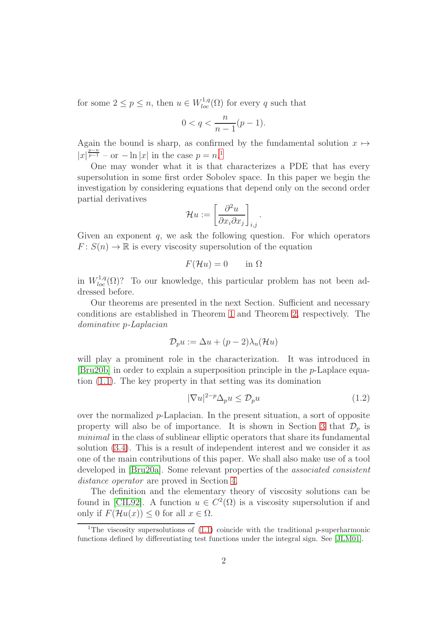for some  $2 \le p \le n$ , then  $u \in W_{loc}^{1,q}(\Omega)$  for every q such that

$$
0 < q < \frac{n}{n-1}(p-1).
$$

Again the bound is sharp, as confirmed by the fundamental solution  $x \mapsto$  $|x|^{\frac{p-n}{p-1}}$  $|x|^{\frac{p-n}{p-1}}$  $|x|^{\frac{p-n}{p-1}}$  – or  $-\ln|x|$  in the case  $p=n$ <sup>1</sup>

One may wonder what it is that characterizes a PDE that has every supersolution in some first order Sobolev space. In this paper we begin the investigation by considering equations that depend only on the second order partial derivatives

$$
\mathcal{H}u := \left[\frac{\partial^2 u}{\partial x_i \partial x_j}\right]_{i,j}.
$$

Given an exponent  $q$ , we ask the following question. For which operators  $F: S(n) \to \mathbb{R}$  is every viscosity supersolution of the equation

$$
F(\mathcal{H}u) = 0 \qquad \text{in } \Omega
$$

in  $W_{loc}^{1,q}(\Omega)$ ? To our knowledge, this particular problem has not been addressed before.

Our theorems are presented in the next Section. Sufficient and necessary conditions are established in Theorem [1](#page-3-0) and Theorem [2,](#page-6-0) respectively. The dominative p-Laplacian

$$
\mathcal{D}_p u := \Delta u + (p-2)\lambda_n(\mathcal{H}u)
$$

will play a prominent role in the characterization. It was introduced in [\[Bru20b\]](#page-19-1) in order to explain a superposition principle in the p-Laplace equation [\(1.1\)](#page-0-0). The key property in that setting was its domination

<span id="page-1-1"></span>
$$
|\nabla u|^{2-p} \Delta_p u \leq \mathcal{D}_p u \tag{1.2}
$$

over the normalized  $p$ -Laplacian. In the present situation, a sort of opposite property will also be of importance. It is shown in Section [3](#page-8-0) that  $\mathcal{D}_p$  is minimal in the class of sublinear elliptic operators that share its fundamental solution [\(3.4\)](#page-10-0). This is a result of independent interest and we consider it as one of the main contributions of this paper. We shall also make use of a tool developed in [\[Bru20a\]](#page-19-2). Some relevant properties of the associated consistent distance operator are proved in Section [4.](#page-14-0)

The definition and the elementary theory of viscosity solutions can be found in [\[CIL92\]](#page-19-3). A function  $u \in C^2(\Omega)$  is a viscosity supersolution if and only if  $F(\mathcal{H}u(x)) \leq 0$  for all  $x \in \Omega$ .

<span id="page-1-0"></span> $\overline{1}$ The viscosity supersolutions of [\(1.1\)](#page-0-0) coincide with the traditional p-superharmonic functions defined by differentiating test functions under the integral sign. See [\[JLM01\]](#page-19-4).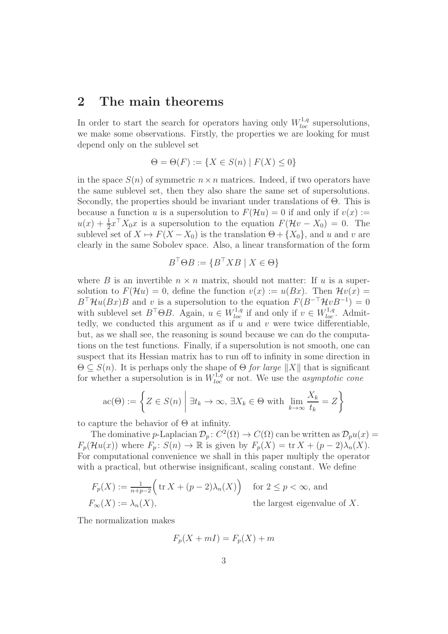#### 2 The main theorems

In order to start the search for operators having only  $W_{loc}^{1,q}$  supersolutions, we make some observations. Firstly, the properties we are looking for must depend only on the sublevel set

$$
\Theta = \Theta(F) := \{ X \in S(n) \mid F(X) \le 0 \}
$$

in the space  $S(n)$  of symmetric  $n \times n$  matrices. Indeed, if two operators have the same sublevel set, then they also share the same set of supersolutions. Secondly, the properties should be invariant under translations of Θ. This is because a function u is a supersolution to  $F(\mathcal{H}u) = 0$  if and only if  $v(x) :=$  $u(x) + \frac{1}{2}x^{\top} X_0 x$  is a supersolution to the equation  $F(\mathcal{H}v - X_0) = 0$ . The sublevel set of  $X \mapsto F(X - X_0)$  is the translation  $\Theta + \{X_0\}$ , and u and v are clearly in the same Sobolev space. Also, a linear transformation of the form

$$
B^{\top} \Theta B := \{ B^{\top} X B \mid X \in \Theta \}
$$

where B is an invertible  $n \times n$  matrix, should not matter: If u is a supersolution to  $F(\mathcal{H}u) = 0$ , define the function  $v(x) := u(Bx)$ . Then  $\mathcal{H}v(x) =$  $B^{\top} \mathcal{H}u(Bx)B$  and v is a supersolution to the equation  $F(B^{-\top} \mathcal{H}vB^{-1}) = 0$ with sublevel set  $B^{\top} \Theta B$ . Again,  $u \in W^{1,q}_{loc}$  if and only if  $v \in W^{1,q}_{loc}$ . Admittedly, we conducted this argument as if  $u$  and  $v$  were twice differentiable, but, as we shall see, the reasoning is sound because we can do the computations on the test functions. Finally, if a supersolution is not smooth, one can suspect that its Hessian matrix has to run off to infinity in some direction in  $\Theta \subseteq S(n)$ . It is perhaps only the shape of  $\Theta$  for large  $||X||$  that is significant for whether a supersolution is in  $W_{loc}^{1,q}$  or not. We use the *asymptotic cone* 

$$
\operatorname{ac}(\Theta) := \left\{ Z \in S(n) \mid \exists t_k \to \infty, \, \exists X_k \in \Theta \text{ with } \lim_{k \to \infty} \frac{X_k}{t_k} = Z \right\}
$$

to capture the behavior of  $\Theta$  at infinity.

The dominative p-Laplacian  $\mathcal{D}_p$ :  $C^2(\Omega) \to C(\Omega)$  can be written as  $\mathcal{D}_p u(x) =$  $F_p(\mathcal{H}u(x))$  where  $F_p: S(n) \to \mathbb{R}$  is given by  $F_p(X) = \text{tr } X + (p-2)\lambda_n(X)$ . For computational convenience we shall in this paper multiply the operator with a practical, but otherwise insignificant, scaling constant. We define

$$
F_p(X) := \frac{1}{n+p-2} \Big( \operatorname{tr} X + (p-2)\lambda_n(X) \Big) \quad \text{for } 2 \le p < \infty, \text{ and}
$$
  

$$
F_{\infty}(X) := \lambda_n(X), \qquad \text{the largest eigenvalue of } X.
$$

The normalization makes

$$
F_p(X + mI) = F_p(X) + m
$$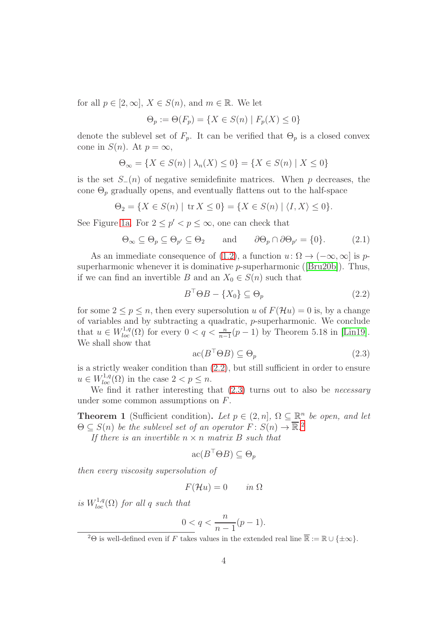for all  $p \in [2, \infty]$ ,  $X \in S(n)$ , and  $m \in \mathbb{R}$ . We let

$$
\Theta_p := \Theta(F_p) = \{ X \in S(n) \mid F_p(X) \le 0 \}
$$

denote the sublevel set of  $F_p$ . It can be verified that  $\Theta_p$  is a closed convex cone in  $S(n)$ . At  $p = \infty$ ,

$$
\Theta_{\infty} = \{ X \in S(n) \mid \lambda_n(X) \le 0 \} = \{ X \in S(n) \mid X \le 0 \}
$$

is the set  $S_-(n)$  of negative semidefinite matrices. When p decreases, the cone  $\Theta_p$  gradually opens, and eventually flattens out to the half-space

$$
\Theta_2 = \{ X \in S(n) \mid \text{tr } X \le 0 \} = \{ X \in S(n) \mid \langle I, X \rangle \le 0 \}.
$$

See Figure [1a.](#page-4-0) For  $2 \le p' < p \le \infty$ , one can check that

<span id="page-3-4"></span>
$$
\Theta_{\infty} \subseteq \Theta_p \subseteq \Theta_{p'} \subseteq \Theta_2 \quad \text{and} \quad \partial \Theta_p \cap \partial \Theta_{p'} = \{0\}. \quad (2.1)
$$

As an immediate consequence of [\(1.2\)](#page-1-1), a function  $u: \Omega \to (-\infty, \infty]$  is psuperharmonic whenever it is dominative  $p$ -superharmonic ([\[Bru20b\]](#page-19-1)). Thus, if we can find an invertible B and an  $X_0 \in S(n)$  such that

<span id="page-3-1"></span>
$$
B^{\top} \Theta B - \{X_0\} \subseteq \Theta_p \tag{2.2}
$$

for some  $2 \le p \le n$ , then every supersolution u of  $F(\mathcal{H}u) = 0$  is, by a change of variables and by subtracting a quadratic, p-superharmonic. We conclude that  $u \in W^{1,q}_{loc}(\Omega)$  for every  $0 < q < \frac{n}{n-1}(p-1)$  by Theorem 5.18 in [\[Lin19\]](#page-19-0). We shall show that

<span id="page-3-2"></span>
$$
ac(B^{\top}\Theta B) \subseteq \Theta_p \tag{2.3}
$$

is a strictly weaker condition than [\(2.2\)](#page-3-1), but still sufficient in order to ensure  $u \in W^{1,q}_{loc}(\Omega)$  in the case  $2 < p \leq n$ .

We find it rather interesting that  $(2.3)$  turns out to also be *necessary* under some common assumptions on F.

<span id="page-3-0"></span>**Theorem 1** (Sufficient condition). Let  $p \in (2, n]$ ,  $\Omega \subseteq \mathbb{R}^n$  be open, and let  $\Theta \subseteq S(n)$  be the sublevel set of an operator  $F: S(n) \to \overline{\mathbb{R}}^2$  $F: S(n) \to \overline{\mathbb{R}}^2$ .

If there is an invertible  $n \times n$  matrix B such that

$$
\mathrm{ac}(B^\top \Theta B) \subseteq \Theta_p
$$

then every viscosity supersolution of

$$
F(\mathcal{H}u) = 0 \qquad in \ \Omega
$$

is  $W^{1,q}_{loc}(\Omega)$  for all q such that

$$
0 < q < \frac{n}{n-1}(p-1).
$$

<span id="page-3-3"></span><sup>&</sup>lt;sup>2</sup> $\Theta$  is well-defined even if F takes values in the extended real line  $\overline{\mathbb{R}} := \mathbb{R} \cup \{\pm \infty\}.$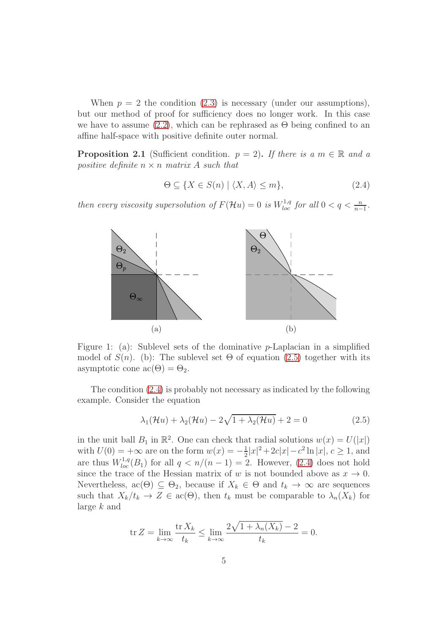When  $p = 2$  the condition [\(2.3\)](#page-3-2) is necessary (under our assumptions), but our method of proof for sufficiency does no longer work. In this case we have to assume  $(2.2)$ , which can be rephrased as  $\Theta$  being confined to an affine half-space with positive definite outer normal.

<span id="page-4-3"></span>**Proposition 2.1** (Sufficient condition.  $p = 2$ ). If there is a  $m \in \mathbb{R}$  and a positive definite  $n \times n$  matrix A such that

<span id="page-4-2"></span>
$$
\Theta \subseteq \{ X \in S(n) \mid \langle X, A \rangle \le m \},\tag{2.4}
$$

<span id="page-4-0"></span>then every viscosity supersolution of  $F(\mathcal{H}u) = 0$  is  $W^{1,q}_{loc}$  for all  $0 < q < \frac{n}{n-1}$ .



Figure 1: (a): Sublevel sets of the dominative p-Laplacian in a simplified model of  $S(n)$ . (b): The sublevel set  $\Theta$  of equation [\(2.5\)](#page-4-1) together with its asymptotic cone  $\mathrm{ac}(\Theta) = \Theta_2$ .

The condition [\(2.4\)](#page-4-2) is probably not necessary as indicated by the following example. Consider the equation

<span id="page-4-1"></span>
$$
\lambda_1(\mathcal{H}u) + \lambda_2(\mathcal{H}u) - 2\sqrt{1 + \lambda_2(\mathcal{H}u)} + 2 = 0 \tag{2.5}
$$

in the unit ball  $B_1$  in  $\mathbb{R}^2$ . One can check that radial solutions  $w(x) = U(|x|)$ with  $U(0) = +\infty$  are on the form  $w(x) = -\frac{1}{2}$  $\frac{1}{2}|x|^2+2c|x|-c^2\ln|x|, c\geq 1$ , and are thus  $W^{1,q}_{loc}(B_1)$  for all  $q < n/(n-1) = 2$ . However, [\(2.4\)](#page-4-2) does not hold since the trace of the Hessian matrix of w is not bounded above as  $x \to 0$ . Nevertheless,  $ac(\Theta) \subseteq \Theta_2$ , because if  $X_k \in \Theta$  and  $t_k \to \infty$  are sequences such that  $X_k/t_k \to Z \in \operatorname{ac}(\Theta)$ , then  $t_k$  must be comparable to  $\lambda_n(X_k)$  for large k and

$$
\operatorname{tr} Z = \lim_{k \to \infty} \frac{\operatorname{tr} X_k}{t_k} \le \lim_{k \to \infty} \frac{2\sqrt{1 + \lambda_n(X_k)} - 2}{t_k} = 0.
$$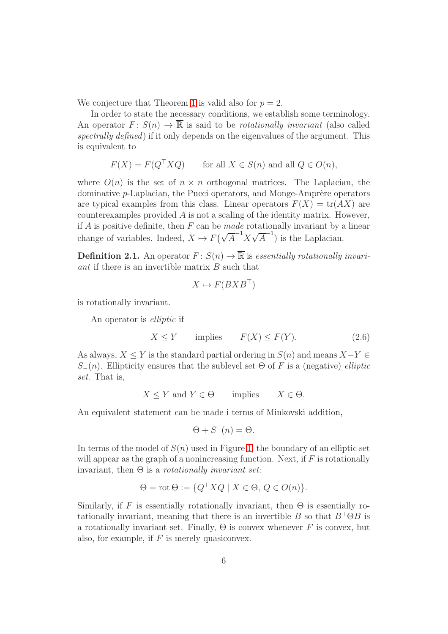We conjecture that Theorem [1](#page-3-0) is valid also for  $p = 2$ .

In order to state the necessary conditions, we establish some terminology. An operator  $F: S(n) \to \overline{\mathbb{R}}$  is said to be *rotationally invariant* (also called spectrally defined) if it only depends on the eigenvalues of the argument. This is equivalent to

$$
F(X) = F(Q^{\top} X Q) \quad \text{for all } X \in S(n) \text{ and all } Q \in O(n),
$$

where  $O(n)$  is the set of  $n \times n$  orthogonal matrices. The Laplacian, the dominative  $p$ -Laplacian, the Pucci operators, and Monge-Amprère operators are typical examples from this class. Linear operators  $F(X) = \text{tr}(AX)$  are counterexamples provided A is not a scaling of the identity matrix. However, if  $A$  is positive definite, then  $F$  can be *made* rotationally invariant by a linear change of variables. Indeed,  $X \mapsto F(\sqrt{A}^{-1}X\sqrt{A}^{-1})$  is the Laplacian.

**Definition 2.1.** An operator  $F: S(n) \to \overline{\mathbb{R}}$  is essentially rotationally invariant if there is an invertible matrix B such that

$$
X\mapsto F(BXB^\top)
$$

is rotationally invariant.

An operator is elliptic if

<span id="page-5-0"></span>
$$
X \le Y \qquad \text{implies} \qquad F(X) \le F(Y). \tag{2.6}
$$

As always,  $X \leq Y$  is the standard partial ordering in  $S(n)$  and means  $X-Y \in$  $S_-(n)$ . Ellipticity ensures that the sublevel set  $\Theta$  of F is a (negative) elliptic set. That is,

$$
X \le Y \text{ and } Y \in \Theta \qquad \text{implies} \qquad X \in \Theta.
$$

An equivalent statement can be made i terms of Minkovski addition,

$$
\Theta + S_{-}(n) = \Theta.
$$

In terms of the model of  $S(n)$  used in Figure [1,](#page-4-0) the boundary of an elliptic set will appear as the graph of a nonincreasing function. Next, if  $F$  is rotationally invariant, then  $\Theta$  is a *rotationally invariant set*:

$$
\Theta = \operatorname{rot} \Theta := \{ Q^\top X Q \mid X \in \Theta, \, Q \in O(n) \}.
$$

Similarly, if F is essentially rotationally invariant, then  $\Theta$  is essentially rotationally invariant, meaning that there is an invertible B so that  $B^{\top} \Theta B$  is a rotationally invariant set. Finally,  $\Theta$  is convex whenever F is convex, but also, for example, if  $F$  is merely quasiconvex.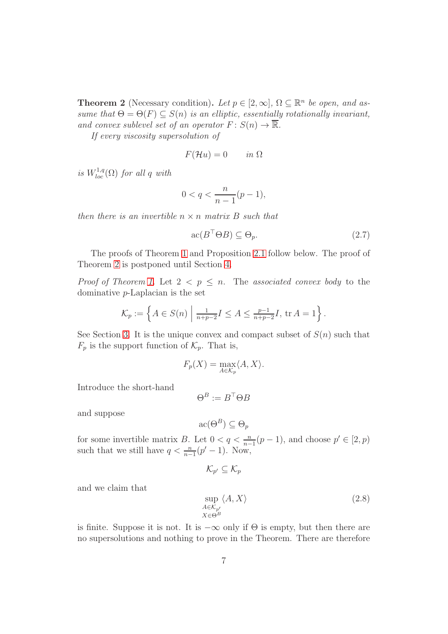<span id="page-6-0"></span>**Theorem 2** (Necessary condition). Let  $p \in [2, \infty]$ ,  $\Omega \subseteq \mathbb{R}^n$  be open, and assume that  $\Theta = \Theta(F) \subseteq S(n)$  is an elliptic, essentially rotationally invariant, and convex sublevel set of an operator  $F: S(n) \to \overline{\mathbb{R}}$ .

If every viscosity supersolution of

$$
F(\mathcal{H}u) = 0 \qquad in \ \Omega
$$

is  $W^{1,q}_{loc}(\Omega)$  for all q with

$$
0
$$

then there is an invertible  $n \times n$  matrix B such that

<span id="page-6-2"></span>
$$
\operatorname{ac}(B^\top \Theta B) \subseteq \Theta_p. \tag{2.7}
$$

The proofs of Theorem [1](#page-3-0) and Proposition [2.1](#page-4-3) follow below. The proof of Theorem [2](#page-6-0) is postponed until Section [4.](#page-14-0)

*Proof of Theorem [1.](#page-3-0)* Let  $2 < p \leq n$ . The associated convex body to the dominative p-Laplacian is the set

$$
\mathcal{K}_p := \left\{ A \in S(n) \mid \frac{1}{n+p-2} I \le A \le \frac{p-1}{n+p-2} I, \, \text{tr } A = 1 \right\}.
$$

See Section [3.](#page-8-0) It is the unique convex and compact subset of  $S(n)$  such that  $F_p$  is the support function of  $\mathcal{K}_p$ . That is,

$$
F_p(X) = \max_{A \in \mathcal{K}_p} \langle A, X \rangle.
$$

Introduce the short-hand

$$
\Theta^B := B^\top \Theta B
$$

and suppose

$$
\mathrm{ac}(\Theta^B) \subseteq \Theta_p
$$

for some invertible matrix B. Let  $0 < q < \frac{n}{n-1}(p-1)$ , and choose  $p' \in [2, p)$ such that we still have  $q < \frac{n}{n-1}(p'-1)$ . Now,

$$
\mathcal{K}_{p'}\subseteq \mathcal{K}_p
$$

and we claim that

<span id="page-6-1"></span>
$$
\sup_{A \in \mathcal{K}_{p'}} \langle A, X \rangle \tag{2.8}
$$
\n
$$
X \in \Theta^B
$$

is finite. Suppose it is not. It is  $-\infty$  only if  $\Theta$  is empty, but then there are no supersolutions and nothing to prove in the Theorem. There are therefore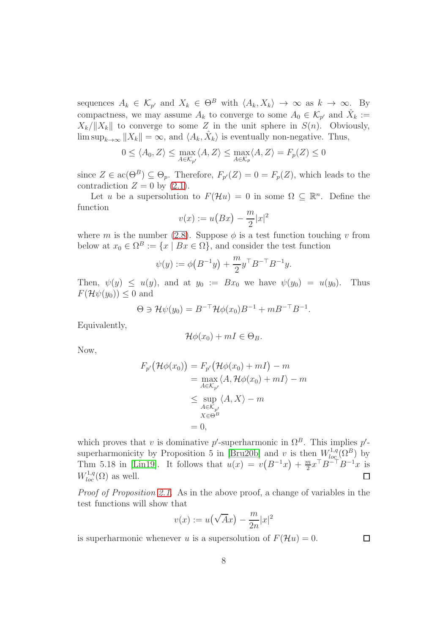sequences  $A_k \in \mathcal{K}_{p'}$  and  $X_k \in \Theta^B$  with  $\langle A_k, X_k \rangle \to \infty$  as  $k \to \infty$ . By compactness, we may assume  $A_k$  to converge to some  $A_0 \in \mathcal{K}_{p'}$  and  $\hat{X}_k :=$  $X_k/\|X_k\|$  to converge to some Z in the unit sphere in  $S(n)$ . Obviously,  $\limsup_{k\to\infty}$   $||X_k|| = \infty$ , and  $\langle A_k, \hat{X}_k \rangle$  is eventually non-negative. Thus,

$$
0\leq \langle A_0,Z\rangle \leq \max_{A\in \mathcal{K}_{p'}}\langle A,Z\rangle \leq \max_{A\in \mathcal{K}_p}\langle A,Z\rangle = F_p(Z)\leq 0
$$

since  $Z \in \text{ac}(\Theta^B) \subseteq \Theta_p$ . Therefore,  $F_{p'}(Z) = 0 = F_p(Z)$ , which leads to the contradiction  $Z = 0$  by  $(2.1)$ .

Let u be a supersolution to  $F(\mathcal{H}u) = 0$  in some  $\Omega \subseteq \mathbb{R}^n$ . Define the function

$$
v(x) := u\big(Bx\big) - \frac{m}{2}|x|^2
$$

where m is the number [\(2.8\)](#page-6-1). Suppose  $\phi$  is a test function touching v from below at  $x_0 \in \Omega^B := \{x \mid Bx \in \Omega\}$ , and consider the test function

$$
\psi(y) := \phi\big(B^{-1}y\big) + \frac{m}{2}y^{\top}B^{-\top}B^{-1}y.
$$

Then,  $\psi(y) \leq u(y)$ , and at  $y_0 := Bx_0$  we have  $\psi(y_0) = u(y_0)$ . Thus  $F(\mathcal{H}\psi(y_0)) \leq 0$  and

$$
\Theta \ni \mathcal{H}\psi(y_0) = B^{-\top}\mathcal{H}\phi(x_0)B^{-1} + mB^{-\top}B^{-1}.
$$

Equivalently,

$$
\mathcal{H}\phi(x_0)+mI\in\Theta_B.
$$

Now,

$$
F_{p'}(\mathcal{H}\phi(x_0)) = F_{p'}(\mathcal{H}\phi(x_0) + mI) - m
$$
  
= 
$$
\max_{A \in \mathcal{K}_{p'}} \langle A, \mathcal{H}\phi(x_0) + mI \rangle - m
$$
  

$$
\leq \sup_{A \in \mathcal{K}_{p'}} \langle A, X \rangle - m
$$
  

$$
\leq \sup_{X \in \Theta^B} \langle A, X \rangle - m
$$
  
= 0,

which proves that v is dominative p'-superharmonic in  $\Omega^B$ . This implies p'-superharmonicity by Proposition 5 in [\[Bru20b\]](#page-19-1) and v is then  $W^{1,q}_{loc}(\Omega^B)$  by Thm 5.18 in [\[Lin19\]](#page-19-0). It follows that  $u(x) = v(B^{-1}x) + \frac{m}{2}$  $\frac{m}{2}x^{\top}B^{-\top}B^{-1}x$  is  $W^{1,q}_{loc}(\Omega)$  as well.  $\Box$ 

Proof of Proposition [2.1.](#page-4-3) As in the above proof, a change of variables in the test functions will show that

$$
v(x) := u(\sqrt{A}x) - \frac{m}{2n}|x|^2
$$

is superharmonic whenever u is a supersolution of  $F(\mathcal{H}u) = 0$ .

 $\Box$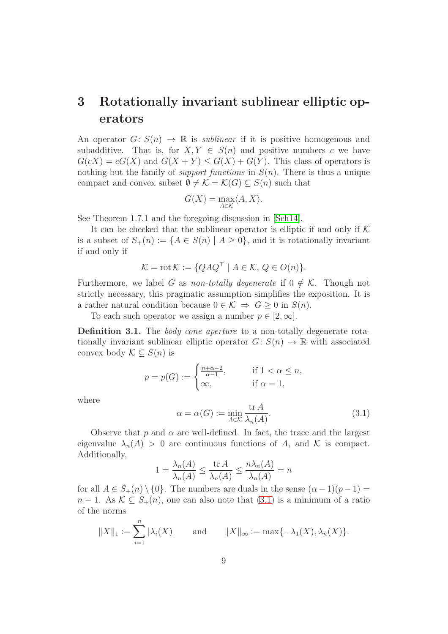## <span id="page-8-0"></span>3 Rotationally invariant sublinear elliptic operators

An operator  $G: S(n) \to \mathbb{R}$  is *sublinear* if it is positive homogenous and subadditive. That is, for  $X, Y \in S(n)$  and positive numbers c we have  $G(cX) = cG(X)$  and  $G(X + Y) \leq G(X) + G(Y)$ . This class of operators is nothing but the family of *support functions* in  $S(n)$ . There is thus a unique compact and convex subset  $\emptyset \neq \mathcal{K} = \mathcal{K}(G) \subseteq S(n)$  such that

$$
G(X) = \max_{A \in \mathcal{K}} \langle A, X \rangle.
$$

See Theorem 1.7.1 and the foregoing discussion in [\[Sch14\]](#page-19-5).

It can be checked that the sublinear operator is elliptic if and only if  $K$ is a subset of  $S_+(n) := \{A \in S(n) \mid A \geq 0\}$ , and it is rotationally invariant if and only if

$$
\mathcal{K} = \text{rot}\,\mathcal{K} := \{QAQ^{\top} \mid A \in \mathcal{K}, \, Q \in O(n)\}.
$$

Furthermore, we label G as non-totally degenerate if  $0 \notin \mathcal{K}$ . Though not strictly necessary, this pragmatic assumption simplifies the exposition. It is a rather natural condition because  $0 \in \mathcal{K} \Rightarrow G \geq 0$  in  $S(n)$ .

To each such operator we assign a number  $p \in [2, \infty]$ .

<span id="page-8-2"></span>Definition 3.1. The *body cone aperture* to a non-totally degenerate rotationally invariant sublinear elliptic operator  $G: S(n) \to \mathbb{R}$  with associated convex body  $\mathcal{K} \subset S(n)$  is

$$
p = p(G) := \begin{cases} \frac{n+\alpha-2}{\alpha-1}, & \text{if } 1 < \alpha \le n, \\ \infty, & \text{if } \alpha = 1, \end{cases}
$$

where

<span id="page-8-1"></span>
$$
\alpha = \alpha(G) := \min_{A \in \mathcal{K}} \frac{\text{tr } A}{\lambda_n(A)}.
$$
\n(3.1)

Observe that p and  $\alpha$  are well-defined. In fact, the trace and the largest eigenvalue  $\lambda_n(A) > 0$  are continuous functions of A, and K is compact. Additionally,

$$
1 = \frac{\lambda_n(A)}{\lambda_n(A)} \le \frac{\text{tr } A}{\lambda_n(A)} \le \frac{n\lambda_n(A)}{\lambda_n(A)} = n
$$

for all  $A \in S_+(n) \setminus \{0\}$ . The numbers are duals in the sense  $(\alpha - 1)(p - 1) =$  $n-1$ . As  $\mathcal{K} \subseteq S_+(n)$ , one can also note that  $(3.1)$  is a minimum of a ratio of the norms

$$
||X||_1 := \sum_{i=1}^n |\lambda_i(X)|
$$
 and  $||X||_{\infty} := \max\{-\lambda_1(X), \lambda_n(X)\}.$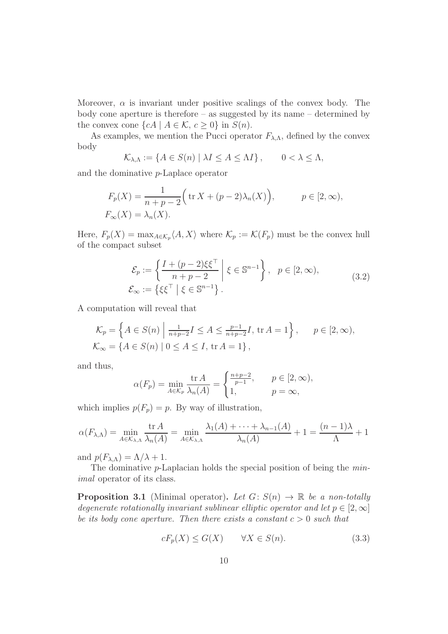Moreover,  $\alpha$  is invariant under positive scalings of the convex body. The body cone aperture is therefore – as suggested by its name – determined by the convex cone  $\{cA \mid A \in \mathcal{K}, c \geq 0\}$  in  $S(n)$ .

As examples, we mention the Pucci operator  $F_{\lambda,\Lambda}$ , defined by the convex body

$$
\mathcal{K}_{\lambda,\Lambda} := \{ A \in S(n) \mid \lambda I \le A \le \Lambda I \}, \qquad 0 < \lambda \le \Lambda,
$$

and the dominative p-Laplace operator

$$
F_p(X) = \frac{1}{n+p-2} \Big( \operatorname{tr} X + (p-2)\lambda_n(X) \Big), \qquad p \in [2, \infty),
$$
  

$$
F_{\infty}(X) = \lambda_n(X).
$$

Here,  $F_p(X) = \max_{A \in \mathcal{K}_p} \langle A, X \rangle$  where  $\mathcal{K}_p := \mathcal{K}(F_p)$  must be the convex hull of the compact subset

<span id="page-9-2"></span>
$$
\mathcal{E}_p := \left\{ \frac{I + (p-2)\xi \xi^\top}{n+p-2} \middle| \xi \in \mathbb{S}^{n-1} \right\}, \quad p \in [2, \infty),
$$
\n
$$
\mathcal{E}_\infty := \left\{ \xi \xi^\top \middle| \xi \in \mathbb{S}^{n-1} \right\}. \tag{3.2}
$$

A computation will reveal that

$$
\mathcal{K}_p = \left\{ A \in S(n) \mid \frac{1}{n+p-2} I \le A \le \frac{p-1}{n+p-2} I, \text{ tr } A = 1 \right\}, \quad p \in [2, \infty),
$$
  

$$
\mathcal{K}_\infty = \left\{ A \in S(n) \mid 0 \le A \le I, \text{ tr } A = 1 \right\},
$$

and thus,

$$
\alpha(F_p) = \min_{A \in \mathcal{K}_p} \frac{\text{tr } A}{\lambda_n(A)} = \begin{cases} \frac{n+p-2}{p-1}, & p \in [2, \infty), \\ 1, & p = \infty, \end{cases}
$$

which implies  $p(F_p) = p$ . By way of illustration,

$$
\alpha(F_{\lambda,\Lambda}) = \min_{A \in \mathcal{K}_{\lambda,\Lambda}} \frac{\text{tr } A}{\lambda_n(A)} = \min_{A \in \mathcal{K}_{\lambda,\Lambda}} \frac{\lambda_1(A) + \dots + \lambda_{n-1}(A)}{\lambda_n(A)} + 1 = \frac{(n-1)\lambda}{\Lambda} + 1
$$

and  $p(F_{\lambda,\Lambda}) = \Lambda/\lambda + 1$ .

The dominative p-Laplacian holds the special position of being the minimal operator of its class.

<span id="page-9-1"></span>**Proposition 3.1** (Minimal operator). Let  $G: S(n) \to \mathbb{R}$  be a non-totally degenerate rotationally invariant sublinear elliptic operator and let  $p \in [2, \infty]$ be its body cone aperture. Then there exists a constant  $c > 0$  such that

<span id="page-9-0"></span>
$$
cF_p(X) \le G(X) \qquad \forall X \in S(n). \tag{3.3}
$$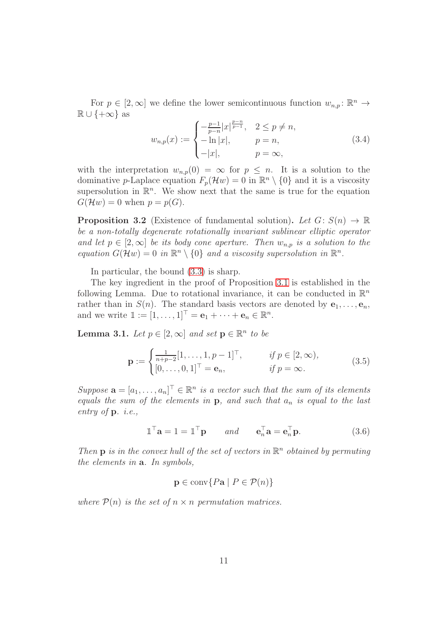For  $p \in [2, \infty]$  we define the lower semicontinuous function  $w_{n,p} : \mathbb{R}^n \to$  $\mathbb{R} \cup \{+\infty\}$  as

<span id="page-10-0"></span>
$$
w_{n,p}(x) := \begin{cases} -\frac{p-1}{p-n}|x|^{\frac{p-n}{p-1}}, & 2 \le p \neq n, \\ -\ln|x|, & p = n, \\ -|x|, & p = \infty, \end{cases}
$$
(3.4)

with the interpretation  $w_{n,p}(0) = \infty$  for  $p \leq n$ . It is a solution to the dominative p-Laplace equation  $F_p(\mathcal{H}w) = 0$  in  $\mathbb{R}^n \setminus \{0\}$  and it is a viscosity supersolution in  $\mathbb{R}^n$ . We show next that the same is true for the equation  $G(\mathcal{H}w) = 0$  when  $p = p(G)$ .

<span id="page-10-4"></span>**Proposition 3.2** (Existence of fundamental solution). Let  $G: S(n) \to \mathbb{R}$ be a non-totally degenerate rotationally invariant sublinear elliptic operator and let  $p \in [2,\infty]$  be its body cone aperture. Then  $w_{n,p}$  is a solution to the equation  $G(\mathcal{H}w) = 0$  in  $\mathbb{R}^n \setminus \{0\}$  and a viscosity supersolution in  $\mathbb{R}^n$ .

In particular, the bound [\(3.3\)](#page-9-0) is sharp.

The key ingredient in the proof of Proposition [3.1](#page-9-1) is established in the following Lemma. Due to rotational invariance, it can be conducted in  $\mathbb{R}^n$ rather than in  $S(n)$ . The standard basis vectors are denoted by  $e_1, \ldots, e_n$ , and we write  $\mathbb{1}:=[1,\ldots,1]^\top=\mathbf{e}_1+\cdots+\mathbf{e}_n\in\mathbb{R}^n$ .

<span id="page-10-3"></span>**Lemma 3.1.** Let  $p \in [2, \infty]$  and set  $\mathbf{p} \in \mathbb{R}^n$  to be

<span id="page-10-2"></span>
$$
\mathbf{p} := \begin{cases} \frac{1}{n+p-2} [1, \dots, 1, p-1]^\top, & \text{if } p \in [2, \infty), \\ [0, \dots, 0, 1]^\top = \mathbf{e}_n, & \text{if } p = \infty. \end{cases}
$$
(3.5)

Suppose  $\mathbf{a} = [a_1, \dots, a_n]^\top \in \mathbb{R}^n$  is a vector such that the sum of its elements equals the sum of the elements in  $\mathbf{p}$ , and such that  $a_n$  is equal to the last entry of  $\mathbf{p}$ . *i.e.*,

<span id="page-10-1"></span>
$$
\mathbb{1}^{\top} \mathbf{a} = 1 = \mathbb{1}^{\top} \mathbf{p} \qquad \text{and} \qquad \mathbf{e}_n^{\top} \mathbf{a} = \mathbf{e}_n^{\top} \mathbf{p}. \tag{3.6}
$$

Then **p** is in the convex hull of the set of vectors in  $\mathbb{R}^n$  obtained by permuting the elements in a. In symbols,

$$
\mathbf{p} \in \text{conv}\{P\mathbf{a} \mid P \in \mathcal{P}(n)\}
$$

where  $\mathcal{P}(n)$  is the set of  $n \times n$  permutation matrices.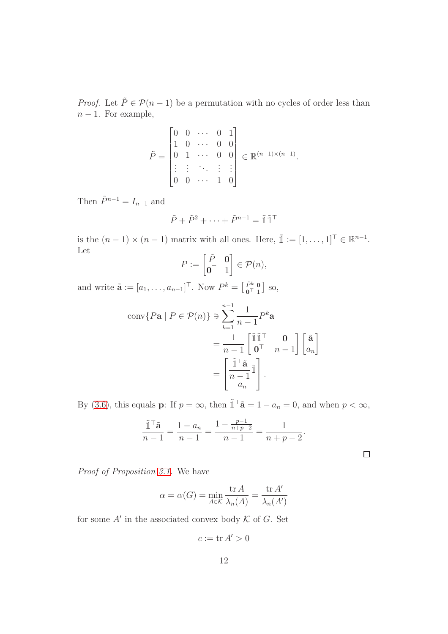*Proof.* Let  $\tilde{P} \in \mathcal{P}(n-1)$  be a permutation with no cycles of order less than  $n-1$ . For example,

$$
\tilde{P} = \begin{bmatrix} 0 & 0 & \cdots & 0 & 1 \\ 1 & 0 & \cdots & 0 & 0 \\ 0 & 1 & \cdots & 0 & 0 \\ \vdots & \vdots & \ddots & \vdots & \vdots \\ 0 & 0 & \cdots & 1 & 0 \end{bmatrix} \in \mathbb{R}^{(n-1)\times(n-1)}.
$$

Then  $\tilde{P}^{n-1} = I_{n-1}$  and

$$
\tilde{P} + \tilde{P}^2 + \dots + \tilde{P}^{n-1} = \tilde{\mathbb{1}}\tilde{\mathbb{1}}^\top
$$

is the  $(n-1) \times (n-1)$  matrix with all ones. Here,  $\tilde{\mathbb{1}} := [1, \ldots, 1]^\top \in \mathbb{R}^{n-1}$ . Let

$$
P := \begin{bmatrix} \tilde{P} & \mathbf{0} \\ \mathbf{0}^{\top} & 1 \end{bmatrix} \in \mathcal{P}(n),
$$

and write  $\tilde{\mathbf{a}} := [a_1, \dots, a_{n-1}]^{\top}$ . Now  $P^k = \begin{bmatrix} \tilde{P}^k & 0 \\ 0 & 1 \end{bmatrix}$  so,

$$
\text{conv}\{P\mathbf{a} \mid P \in \mathcal{P}(n)\} \ni \sum_{k=1}^{n-1} \frac{1}{n-1} P^k \mathbf{a}
$$

$$
= \frac{1}{n-1} \begin{bmatrix} \tilde{\mathbb{I}} \tilde{\mathbb{I}}^\top & \mathbf{0} \\ \mathbf{0}^\top & n-1 \end{bmatrix} \begin{bmatrix} \tilde{\mathbf{a}} \\ a_n \end{bmatrix}
$$

$$
= \begin{bmatrix} \frac{\tilde{\mathbb{I}}^\top \tilde{\mathbf{a}}}{n-1} \tilde{\mathbb{I}} \\ \frac{1}{a_n} \end{bmatrix}.
$$

By [\(3.6\)](#page-10-1), this equals p: If  $p = \infty$ , then  $\tilde{\mathbb{I}}^\top \tilde{\mathbf{a}} = 1 - a_n = 0$ , and when  $p < \infty$ ,

$$
\frac{\tilde{\mathbb{1}}^\top \tilde{\mathbf{a}}}{n-1} = \frac{1-a_n}{n-1} = \frac{1 - \frac{p-1}{n+p-2}}{n-1} = \frac{1}{n+p-2}.
$$

 $\Box$ 

Proof of Proposition [3.1.](#page-9-1) We have

$$
\alpha = \alpha(G) = \min_{A \in \mathcal{K}} \frac{\text{tr } A}{\lambda_n(A)} = \frac{\text{tr } A'}{\lambda_n(A')}
$$

for some  $A'$  in the associated convex body  $K$  of  $G$ . Set

$$
c:=\operatorname{tr} A'>0
$$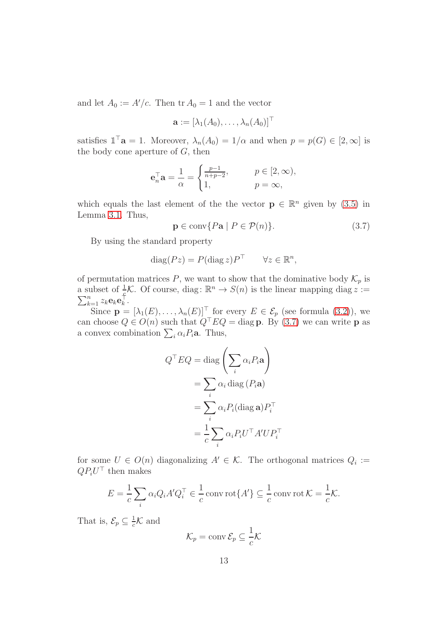and let  $A_0 := A'/c$ . Then  $\text{tr } A_0 = 1$  and the vector

$$
\mathbf{a} := [\lambda_1(A_0), \ldots, \lambda_n(A_0)]^\top
$$

satisfies  $\mathbb{1}^\top \mathbf{a} = 1$ . Moreover,  $\lambda_n(A_0) = 1/\alpha$  and when  $p = p(G) \in [2, \infty]$  is the body cone aperture of  $G$ , then

$$
\mathbf{e}_n^{\top} \mathbf{a} = \frac{1}{\alpha} = \begin{cases} \frac{p-1}{n+p-2}, & p \in [2, \infty), \\ 1, & p = \infty, \end{cases}
$$

which equals the last element of the the vector  $\mathbf{p} \in \mathbb{R}^n$  given by [\(3.5\)](#page-10-2) in Lemma [3.1.](#page-10-3) Thus,

<span id="page-12-0"></span>
$$
\mathbf{p} \in \text{conv}\{P\mathbf{a} \mid P \in \mathcal{P}(n)\}.
$$
 (3.7)

By using the standard property

$$
diag(Pz) = P(diag z)PT \quad \forall z \in \mathbb{R}^n,
$$

of permutation matrices P, we want to show that the dominative body  $\mathcal{K}_p$  is a subset of  $\frac{1}{2}\mathcal{K}$ . Of course, diag:  $\mathbb{R}^n \to S(n)$  is the linear mapping diag  $z :=$  $\sum_{k=1}^n z_k \mathbf{e}_k \mathbf{e}_k^\top$  $\frac{1}{k}$ .

Since  $\mathbf{p} = [\lambda_1(E), \ldots, \lambda_n(E)]^{\top}$  for every  $E \in \mathcal{E}_p$  (see formula [\(3.2\)](#page-9-2)), we can choose  $Q \in O(n)$  such that  $Q^{\top}EQ = \text{diag } \mathbf{p}$ . By [\(3.7\)](#page-12-0) we can write  $\mathbf{p}$  as a convex combination  $\sum_i \alpha_i P_i$ **a**. Thus,

$$
Q^{\top}EQ = \text{diag}\left(\sum_{i} \alpha_{i} P_{i} \mathbf{a}\right)
$$

$$
= \sum_{i} \alpha_{i} \text{diag}\left(P_{i} \mathbf{a}\right)
$$

$$
= \sum_{i} \alpha_{i} P_{i} (\text{diag}\,\mathbf{a}) P_{i}^{\top}
$$

$$
= \frac{1}{c} \sum_{i} \alpha_{i} P_{i} U^{\top} A' U P_{i}^{\top}
$$

for some  $U \in O(n)$  diagonalizing  $A' \in \mathcal{K}$ . The orthogonal matrices  $Q_i :=$  $QP_iU^{\top}$  then makes

$$
E = \frac{1}{c} \sum_{i} \alpha_i Q_i A' Q_i^{\top} \in \frac{1}{c} \operatorname{conv} \operatorname{rot} \{A'\} \subseteq \frac{1}{c} \operatorname{conv} \operatorname{rot} \mathcal{K} = \frac{1}{c} \mathcal{K}.
$$

That is,  $\mathcal{E}_p \subseteq \frac{1}{c}\mathcal{K}$  and

$$
\mathcal{K}_p = \operatorname{conv} \mathcal{E}_p \subseteq \frac{1}{c} \mathcal{K}
$$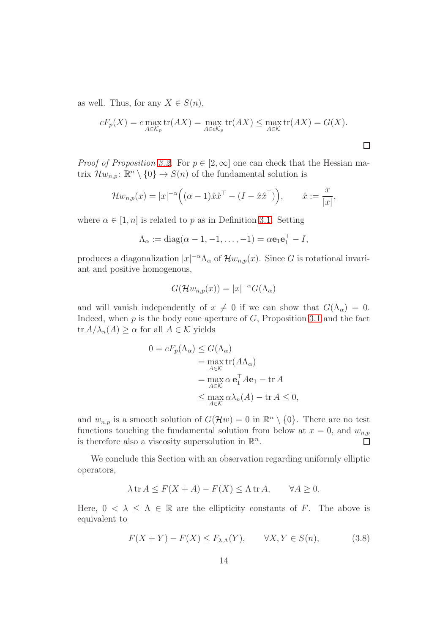as well. Thus, for any  $X \in S(n)$ ,

$$
cF_p(X) = c \max_{A \in \mathcal{K}_p} \text{tr}(AX) = \max_{A \in c\mathcal{K}_p} \text{tr}(AX) \le \max_{A \in \mathcal{K}} \text{tr}(AX) = G(X).
$$

*Proof of Proposition [3.2.](#page-10-4)* For  $p \in [2, \infty]$  one can check that the Hessian matrix  $\mathcal{H}w_{n,p}$ :  $\mathbb{R}^n \setminus \{0\} \to S(n)$  of the fundamental solution is

$$
\mathcal{H}w_{n,p}(x) = |x|^{-\alpha} ((\alpha - 1)\hat{x}\hat{x}^{\top} - (I - \hat{x}\hat{x}^{\top}))
$$
,  $\hat{x} := \frac{x}{|x|}$ ,

where  $\alpha \in [1, n]$  is related to p as in Definition [3.1.](#page-8-2) Setting

$$
\Lambda_{\alpha} := \mathrm{diag}(\alpha - 1, -1, \ldots, -1) = \alpha \mathbf{e}_1 \mathbf{e}_1^{\top} - I,
$$

produces a diagonalization  $|x|^{-\alpha} \Lambda_{\alpha}$  of  $\mathcal{H}w_{n,p}(x)$ . Since G is rotational invariant and positive homogenous,

$$
G(\mathcal{H}w_{n,p}(x)) = |x|^{-\alpha} G(\Lambda_{\alpha})
$$

and will vanish independently of  $x \neq 0$  if we can show that  $G(\Lambda_{\alpha}) = 0$ . Indeed, when  $p$  is the body cone aperture of  $G$ , Proposition [3.1](#page-9-1) and the fact  $\text{tr } A/\lambda_n(A) \geq \alpha$  for all  $A \in \mathcal{K}$  yields

$$
0 = cF_p(\Lambda_\alpha) \le G(\Lambda_\alpha)
$$
  
= 
$$
\max_{A \in \mathcal{K}} \text{tr}(A\Lambda_\alpha)
$$
  
= 
$$
\max_{A \in \mathcal{K}} \alpha \mathbf{e}_1^\top A \mathbf{e}_1 - \text{tr } A
$$
  

$$
\le \max_{A \in \mathcal{K}} \alpha \lambda_n(A) - \text{tr } A \le 0,
$$

and  $w_{n,p}$  is a smooth solution of  $G(\mathcal{H}w) = 0$  in  $\mathbb{R}^n \setminus \{0\}$ . There are no test functions touching the fundamental solution from below at  $x = 0$ , and  $w_{n,p}$ is therefore also a viscosity supersolution in  $\mathbb{R}^n$ .  $\Box$ 

We conclude this Section with an observation regarding uniformly elliptic operators,

$$
\lambda \operatorname{tr} A \le F(X + A) - F(X) \le \Lambda \operatorname{tr} A, \qquad \forall A \ge 0.
$$

Here,  $0 < \lambda < \Lambda \in \mathbb{R}$  are the ellipticity constants of F. The above is equivalent to

<span id="page-13-0"></span>
$$
F(X+Y) - F(X) \le F_{\lambda,\Lambda}(Y), \qquad \forall X, Y \in S(n), \tag{3.8}
$$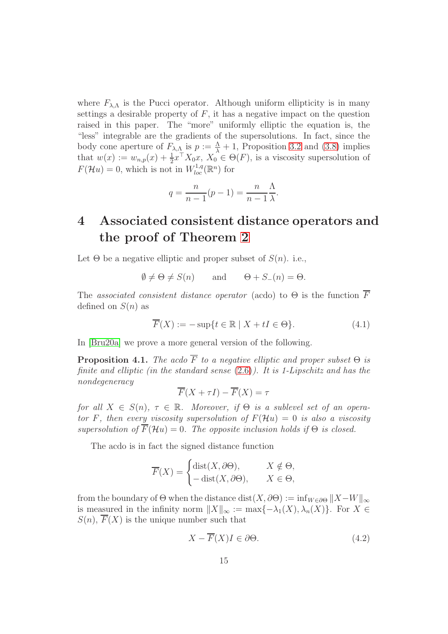where  $F_{\lambda,\Lambda}$  is the Pucci operator. Although uniform ellipticity is in many settings a desirable property of  $F$ , it has a negative impact on the question raised in this paper. The "more" uniformly elliptic the equation is, the "less" integrable are the gradients of the supersolutions. In fact, since the body cone aperture of  $F_{\lambda,\Lambda}$  is  $p := \frac{\Lambda}{\lambda} + 1$ , Proposition [3.2](#page-10-4) and [\(3.8\)](#page-13-0) implies that  $w(x) := w_{n,p}(x) + \frac{1}{2}x^{\top} X_0 x, X_0 \in \Theta(F)$ , is a viscosity supersolution of  $F(\mathcal{H}u) = 0$ , which is not in  $W^{1,q}_{loc}(\mathbb{R}^n)$  for

$$
q = \frac{n}{n-1}(p-1) = \frac{n}{n-1}\frac{\Lambda}{\lambda}.
$$

## <span id="page-14-0"></span>4 Associated consistent distance operators and the proof of Theorem [2](#page-6-0)

Let  $\Theta$  be a negative elliptic and proper subset of  $S(n)$ . i.e.,

$$
\emptyset \neq \Theta \neq S(n) \quad \text{and} \quad \Theta + S_{-}(n) = \Theta.
$$

The associated consistent distance operator (acdo) to  $\Theta$  is the function  $\overline{F}$ defined on  $S(n)$  as

<span id="page-14-1"></span>
$$
\overline{F}(X) := -\sup\{t \in \mathbb{R} \mid X + tI \in \Theta\}.
$$
\n(4.1)

In [\[Bru20a\]](#page-19-2) we prove a more general version of the following.

**Proposition 4.1.** The acdo  $\overline{F}$  to a negative elliptic and proper subset  $\Theta$  is finite and elliptic (in the standard sense  $(2.6)$ ). It is 1-Lipschitz and has the nondegeneracy

$$
\overline{F}(X + \tau I) - \overline{F}(X) = \tau
$$

for all  $X \in S(n)$ ,  $\tau \in \mathbb{R}$ . Moreover, if  $\Theta$  is a sublevel set of an operator F, then every viscosity supersolution of  $F(\mathcal{H}u) = 0$  is also a viscosity supersolution of  $\overline{F}(\mathcal{H}u) = 0$ . The opposite inclusion holds if  $\Theta$  is closed.

The acdo is in fact the signed distance function

$$
\overline{F}(X) = \begin{cases} \text{dist}(X, \partial \Theta), & X \notin \Theta, \\ -\text{dist}(X, \partial \Theta), & X \in \Theta, \end{cases}
$$

from the boundary of  $\Theta$  when the distance dist $(X, \partial \Theta) := \inf_{W \in \partial \Theta} ||X - W||_{\infty}$ is measured in the infinity norm  $||X||_{\infty} := \max\{-\lambda_1(X), \lambda_n(X)\}\.$  For  $X \in$  $S(n)$ ,  $\overline{F}(X)$  is the unique number such that

<span id="page-14-2"></span>
$$
X - \overline{F}(X)I \in \partial \Theta. \tag{4.2}
$$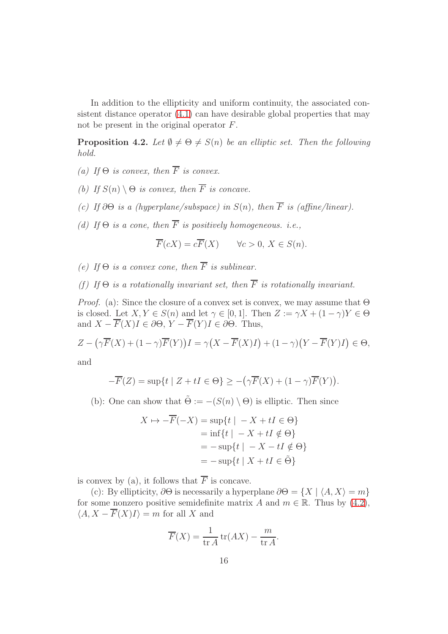In addition to the ellipticity and uniform continuity, the associated consistent distance operator [\(4.1\)](#page-14-1) can have desirable global properties that may not be present in the original operator F.

<span id="page-15-0"></span>**Proposition 4.2.** Let  $\emptyset \neq \Theta \neq S(n)$  be an elliptic set. Then the following hold.

- (a) If  $\Theta$  is convex, then  $\overline{F}$  is convex.
- (b) If  $S(n) \setminus \Theta$  is convex, then  $\overline{F}$  is concave.
- (c) If  $\partial\Theta$  is a (hyperplane/subspace) in  $S(n)$ , then  $\overline{F}$  is (affine/linear).
- (d) If  $\Theta$  is a cone, then  $\overline{F}$  is positively homogeneous. i.e.,

$$
\overline{F}(cX) = c\overline{F}(X) \qquad \forall c > 0, \ X \in S(n).
$$

- (e) If  $\Theta$  is a convex cone, then  $\overline{F}$  is sublinear.
- (f) If  $\Theta$  is a rotationally invariant set, then  $\overline{F}$  is rotationally invariant.

*Proof.* (a): Since the closure of a convex set is convex, we may assume that  $\Theta$ is closed. Let  $X, Y \in S(n)$  and let  $\gamma \in [0, 1]$ . Then  $Z := \gamma X + (1 - \gamma)Y \in \Theta$ and  $X - \overline{F}(X)I \in \partial \Theta$ ,  $Y - \overline{F}(Y)I \in \partial \Theta$ . Thus,

$$
Z - \left(\gamma \overline{F}(X) + (1 - \gamma)\overline{F}(Y)\right)I = \gamma \left(X - \overline{F}(X)I\right) + (1 - \gamma)\left(Y - \overline{F}(Y)I\right) \in \Theta,
$$

and

$$
-\overline{F}(Z) = \sup\{t \mid Z + tI \in \Theta\} \ge -\left(\gamma \overline{F}(X) + (1 - \gamma)\overline{F}(Y)\right).
$$

(b): One can show that  $\tilde{\Theta} := -(S(n) \setminus \Theta)$  is elliptic. Then since

$$
X \mapsto -\overline{F}(-X) = \sup\{t \mid -X + tI \in \Theta\}
$$
  
=  $\inf\{t \mid -X + tI \notin \Theta\}$   
=  $-\sup\{t \mid -X - tI \notin \Theta\}$   
=  $-\sup\{t \mid X + tI \in \tilde{\Theta}\}$ 

is convex by (a), it follows that  $\overline{F}$  is concave.

(c): By ellipticity,  $\partial \Theta$  is necessarily a hyperplane  $\partial \Theta = \{X \mid \langle A, X \rangle = m\}$ for some nonzero positive semidefinite matrix A and  $m \in \mathbb{R}$ . Thus by [\(4.2\)](#page-14-2),  $\langle A, X - \overline{F}(X)I \rangle = m$  for all X and

$$
\overline{F}(X) = \frac{1}{\text{tr }A} \operatorname{tr}(AX) - \frac{m}{\text{tr }A}
$$

.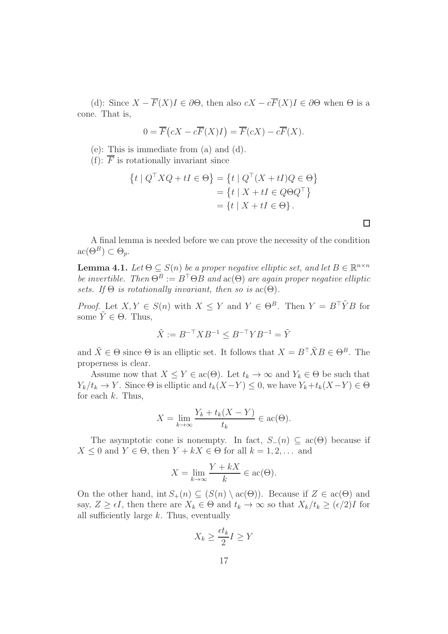(d): Since  $X - \overline{F}(X)I \in \partial \Theta$ , then also  $cX - c\overline{F}(X)I \in \partial \Theta$  when  $\Theta$  is a cone. That is,

$$
0 = \overline{F}(cX - c\overline{F}(X)I) = \overline{F}(cX) - c\overline{F}(X).
$$

(e): This is immediate from (a) and (d).

(f):  $\overline{F}$  is rotationally invariant since

$$
\{t \mid Q^{\top} X Q + tI \in \Theta\} = \{t \mid Q^{\top} (X + tI) Q \in \Theta\}
$$

$$
= \{t \mid X + tI \in Q\Theta Q^{\top}\}
$$

$$
= \{t \mid X + tI \in \Theta\}.
$$

A final lemma is needed before we can prove the necessity of the condition  $\mathrm{ac}(\Theta^B) \subset \Theta_p.$ 

<span id="page-16-0"></span>**Lemma 4.1.** Let  $\Theta \subseteq S(n)$  be a proper negative elliptic set, and let  $B \in \mathbb{R}^{n \times n}$ be invertible. Then  $\Theta^B := B^{\top} \Theta B$  and  $\mathrm{ac}(\Theta)$  are again proper negative elliptic sets. If  $\Theta$  is rotationally invariant, then so is  $\text{ac}(\Theta)$ .

*Proof.* Let  $X, Y \in S(n)$  with  $X \leq Y$  and  $Y \in \Theta^B$ . Then  $Y = B^T \tilde{Y} B$  for some  $\tilde{Y} \in \Theta$ . Thus,

$$
\tilde{X} := B^{-\top} X B^{-1} \le B^{-\top} Y B^{-1} = \tilde{Y}
$$

and  $\tilde{X} \in \Theta$  since  $\Theta$  is an elliptic set. It follows that  $X = B^{\top} \tilde{X} B \in \Theta^B$ . The properness is clear.

Assume now that  $X \leq Y \in \text{ac}(\Theta)$ . Let  $t_k \to \infty$  and  $Y_k \in \Theta$  be such that  $Y_k/t_k \to Y$ . Since  $\Theta$  is elliptic and  $t_k(X-Y) \leq 0$ , we have  $Y_k+t_k(X-Y) \in \Theta$ for each  $k$ . Thus,

$$
X = \lim_{k \to \infty} \frac{Y_k + t_k(X - Y)}{t_k} \in \text{ac}(\Theta).
$$

The asymptotic cone is nonempty. In fact,  $S_-(n) \subset \text{ac}(\Theta)$  because if  $X \leq 0$  and  $Y \in \Theta$ , then  $Y + kX \in \Theta$  for all  $k = 1, 2, \dots$  and

$$
X = \lim_{k \to \infty} \frac{Y + kX}{k} \in \text{ac}(\Theta).
$$

On the other hand, int  $S_+(n) \subseteq (S(n) \setminus \text{ac}(\Theta))$ . Because if  $Z \in \text{ac}(\Theta)$  and say,  $Z \geq \epsilon I$ , then there are  $X_k \in \Theta$  and  $t_k \to \infty$  so that  $X_k/t_k \geq (\epsilon/2)I$  for all sufficiently large  $k$ . Thus, eventually

$$
X_k \ge \frac{\epsilon t_k}{2} I \ge Y
$$

 $\Box$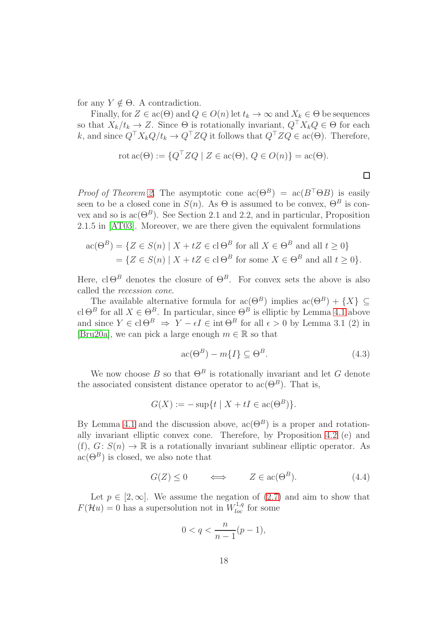for any  $Y \notin \Theta$ . A contradiction.

Finally, for  $Z \in \text{ac}(\Theta)$  and  $Q \in O(n)$  let  $t_k \to \infty$  and  $X_k \in \Theta$  be sequences so that  $X_k/t_k \to Z$ . Since  $\Theta$  is rotationally invariant,  $Q^{\top}X_kQ \in \Theta$  for each k, and since  $Q^{\top}X_kQ/t_k \to Q^{\top}ZQ$  it follows that  $Q^{\top}ZQ \in \text{ac}(\Theta)$ . Therefore,

$$
\text{rot ac}(\Theta) := \{ Q^\top Z Q \mid Z \in \text{ac}(\Theta), \, Q \in O(n) \} = \text{ac}(\Theta).
$$

 $\Box$ 

*Proof of Theorem [2.](#page-6-0)* The asymptotic cone  $ac(\Theta^B) = ac(B^{\top} \Theta B)$  is easily seen to be a closed cone in  $S(n)$ . As  $\Theta$  is assumed to be convex,  $\Theta^B$  is convex and so is  $ac(\Theta^B)$ . See Section 2.1 and 2.2, and in particular, Proposition 2.1.5 in [\[AT03\]](#page-18-0). Moreover, we are there given the equivalent formulations

$$
\mathrm{ac}(\Theta^B) = \{ Z \in S(n) \mid X + tZ \in \mathrm{cl}\,\Theta^B \text{ for all } X \in \Theta^B \text{ and all } t \ge 0 \}
$$
  
= 
$$
\{ Z \in S(n) \mid X + tZ \in \mathrm{cl}\,\Theta^B \text{ for some } X \in \Theta^B \text{ and all } t \ge 0 \}.
$$

Here, cl  $\Theta^B$  denotes the closure of  $\Theta^B$ . For convex sets the above is also called the recession cone.

The available alternative formula for  $ac(\Theta^B)$  implies  $ac(\Theta^B) + \{X\} \subseteq$ cl  $\Theta^B$  for all  $X \in \Theta^B$ . In particular, since  $\Theta^B$  is elliptic by Lemma [4.1](#page-16-0) above and since  $Y \in \text{cl} \,\Theta^B \Rightarrow Y - \epsilon I \in \text{int} \,\Theta^B$  for all  $\epsilon > 0$  by Lemma 3.1 (2) in [\[Bru20a\]](#page-19-2), we can pick a large enough  $m \in \mathbb{R}$  so that

<span id="page-17-1"></span>
$$
\operatorname{ac}(\Theta^B) - m\{I\} \subseteq \Theta^B. \tag{4.3}
$$

We now choose B so that  $\Theta^B$  is rotationally invariant and let G denote the associated consistent distance operator to  $ac(\Theta^B)$ . That is,

$$
G(X) := -\sup\{t \mid X + tI \in \mathrm{ac}(\Theta^B)\}.
$$

By Lemma [4.1](#page-16-0) and the discussion above,  $ac(\Theta^B)$  is a proper and rotationally invariant elliptic convex cone. Therefore, by Proposition [4.2](#page-15-0) (e) and (f),  $G: S(n) \to \mathbb{R}$  is a rotationally invariant sublinear elliptic operator. As  $ac(\Theta^B)$  is closed, we also note that

<span id="page-17-0"></span>
$$
G(Z) \le 0 \qquad \Longleftrightarrow \qquad Z \in \text{ac}(\Theta^B). \tag{4.4}
$$

Let  $p \in [2,\infty]$ . We assume the negation of  $(2.7)$  and aim to show that  $F(\mathcal{H}u) = 0$  has a supersolution not in  $W^{1,q}_{loc}$  for some

$$
0 < q < \frac{n}{n-1}(p-1),
$$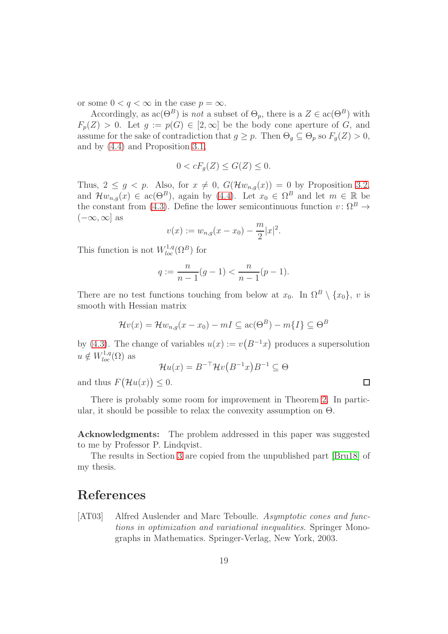or some  $0 < q < \infty$  in the case  $p = \infty$ .

Accordingly, as  $ac(\Theta^B)$  is not a subset of  $\Theta_p$ , there is a  $Z \in ac(\Theta^B)$  with  $F_p(Z) > 0$ . Let  $g := p(G) \in [2, \infty]$  be the body cone aperture of G, and assume for the sake of contradiction that  $g \geq p$ . Then  $\Theta_q \subseteq \Theta_p$  so  $F_q(Z) > 0$ , and by [\(4.4\)](#page-17-0) and Proposition [3.1,](#page-9-1)

$$
0 < cF_g(Z) \le G(Z) \le 0.
$$

Thus,  $2 \leq g \leq p$ . Also, for  $x \neq 0$ ,  $G(\mathcal{H}w_{n,q}(x)) = 0$  by Proposition [3.2,](#page-10-4) and  $\mathcal{H}w_{n,g}(x) \in \text{ac}(\Theta^B)$ , again by [\(4.4\)](#page-17-0). Let  $x_0 \in \Omega^B$  and let  $m \in \mathbb{R}$  be the constant from [\(4.3\)](#page-17-1). Define the lower semicontinuous function  $v: \Omega^B \to$  $(-\infty, \infty]$  as

$$
v(x) := w_{n,g}(x - x_0) - \frac{m}{2}|x|^2.
$$

This function is not  $W^{1,q}_{loc}(\Omega^B)$  for

$$
q := \frac{n}{n-1}(g-1) < \frac{n}{n-1}(p-1).
$$

There are no test functions touching from below at  $x_0$ . In  $\Omega^B \setminus \{x_0\}$ , v is smooth with Hessian matrix

$$
\mathcal{H}v(x) = \mathcal{H}w_{n,g}(x - x_0) - mI \subseteq \mathrm{ac}(\Theta^B) - m\{I\} \subseteq \Theta^B
$$

by [\(4.3\)](#page-17-1). The change of variables  $u(x) := v(B^{-1}x)$  produces a supersolution  $u \notin W^{1,q}_{loc}(\Omega)$  as

$$
\mathcal{H}u(x) = B^{-\top} \mathcal{H}v(B^{-1}x)B^{-1} \subseteq \Theta
$$

and thus  $F(\mathcal{H}u(x)) \leq 0$ .

There is probably some room for improvement in Theorem [2.](#page-6-0) In particular, it should be possible to relax the convexity assumption on  $\Theta$ .

Acknowledgments: The problem addressed in this paper was suggested to me by Professor P. Lindqvist.

The results in Section [3](#page-8-0) are copied from the unpublished part [\[Bru18\]](#page-19-6) of my thesis.

## References

<span id="page-18-0"></span>[AT03] Alfred Auslender and Marc Teboulle. Asymptotic cones and functions in optimization and variational inequalities. Springer Monographs in Mathematics. Springer-Verlag, New York, 2003.

 $\Box$